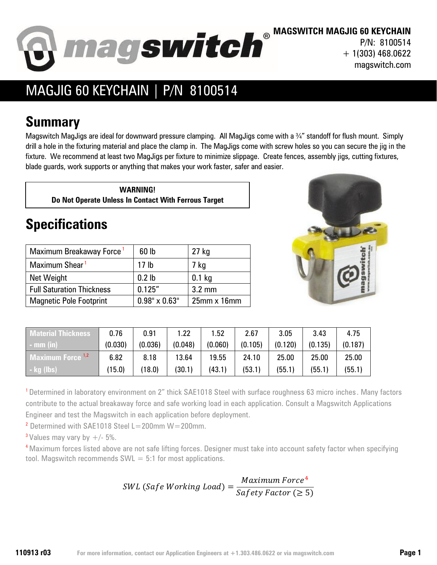

**MAGSWITCH MAGJIG 60 KEYCHAIN** P/N: 8100514 + 1(303) 468.0622 magswitch.com

## MAGJIG 60 KEYCHAIN | P/N 8100514

## **Summary**

Magswitch MagJigs are ideal for downward pressure clamping. All MagJigs come with a ¾" standoff for flush mount. Simply drill a hole in the fixturing material and place the clamp in. The MagJigs come with screw holes so you can secure the jig in the fixture. We recommend at least two MagJigs per fixture to minimize slippage. Create fences, assembly jigs, cutting fixtures, blade guards, work supports or anything that makes your work faster, safer and easier.

**WARNING! Do Not Operate Unless In Contact With Ferrous Target**

## **Specifications**

| Maximum Breakaway Force <sup>1</sup> | 60 lb                | $27$ kg          |
|--------------------------------------|----------------------|------------------|
| Maximum Shear <sup>1</sup>           | 17 <sub>lb</sub>     | 7 kg             |
| Net Weight                           | 0.2 <sub>lb</sub>    | $0.1$ kg         |
| <b>Full Saturation Thickness</b>     | 0.125''              | $3.2 \text{ mm}$ |
| <b>Magnetic Pole Footprint</b>       | $0.98" \times 0.63"$ | $25$ mm $x$ 16mm |



| <b>Aaterial Thickness</b>    | 0.76    | 0.91    | 1.22    | 1.52    | 2.67    | 3.05    | 3.43    | 4.75    |
|------------------------------|---------|---------|---------|---------|---------|---------|---------|---------|
| $-$ mm (in)                  | (0.030) | (0.036) | (0.048) | (0.060) | (0.105) | (0.120) | (0.135) | (0.187) |
| Maximum Force <sup>1,2</sup> | 6.82    | 8.18    | 13.64   | 19.55   | 24.10   | 25.00   | 25.00   | 25.00   |
| - kg (lbs)\                  | (15.0)  | (18.0)  | (30.1)  | (43.1)  | (53.1)  | (55.1)  | (55.1)  | (55.1)  |

<sup>1</sup> Determined in laboratory environment on 2" thick SAE1018 Steel with surface roughness 63 micro inches. Many factors contribute to the actual breakaway force and safe working load in each application. Consult a Magswitch Applications Engineer and test the Magswitch in each application before deployment.

<sup>2</sup> Determined with SAE1018 Steel L=200mm  $W=200$ mm.

<sup>3</sup> Values may vary by  $+/- 5\%$ .

<sup>4</sup> Maximum forces listed above are not safe lifting forces. Designer must take into account safety factor when specifying tool. Magswitch recommends  $SWL = 5:1$  for most applications.

$$
SWL (Safe Working Load) = \frac{Maximum Force^4}{Safety Factor ( \geq 5)}
$$